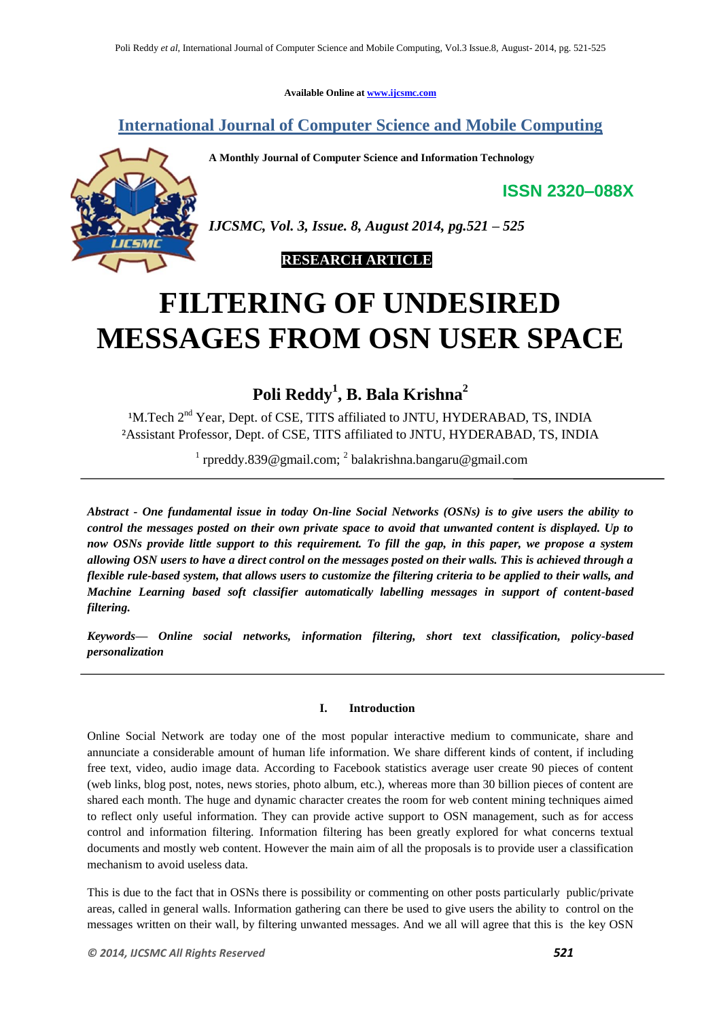**Available Online at www.ijcsmc.com**

**International Journal of Computer Science and Mobile Computing**

**A Monthly Journal of Computer Science and Information Technology**

**ISSN 2320–088X**



*IJCSMC, Vol. 3, Issue. 8, August 2014, pg.521 – 525*



# **FILTERING OF UNDESIRED MESSAGES FROM OSN USER SPACE**

**Poli Reddy<sup>1</sup> , B. Bala Krishna<sup>2</sup>**

<sup>1</sup>M.Tech 2<sup>nd</sup> Year, Dept. of CSE, TITS affiliated to JNTU, HYDERABAD, TS, INDIA ²Assistant Professor, Dept. of CSE, TITS affiliated to JNTU, HYDERABAD, TS, INDIA

<sup>1</sup> rpreddy.839@gmail.com; <sup>2</sup> balakrishna.bangaru@gmail.com

*Abstract - One fundamental issue in today On-line Social Networks (OSNs) is to give users the ability to control the messages posted on their own private space to avoid that unwanted content is displayed. Up to now OSNs provide little support to this requirement. To fill the gap, in this paper, we propose a system allowing OSN users to have a direct control on the messages posted on their walls. This is achieved through a flexible rule-based system, that allows users to customize the filtering criteria to be applied to their walls, and Machine Learning based soft classifier automatically labelling messages in support of content-based filtering.* 

*Keywords— Online social networks, information filtering, short text classification, policy-based personalization*

# **I. Introduction**

Online Social Network are today one of the most popular interactive medium to communicate, share and annunciate a considerable amount of human life information. We share different kinds of content, if including free text, video, audio image data. According to Facebook statistics average user create 90 pieces of content (web links, blog post, notes, news stories, photo album, etc.), whereas more than 30 billion pieces of content are shared each month. The huge and dynamic character creates the room for web content mining techniques aimed to reflect only useful information. They can provide active support to OSN management, such as for access control and information filtering. Information filtering has been greatly explored for what concerns textual documents and mostly web content. However the main aim of all the proposals is to provide user a classification mechanism to avoid useless data.

This is due to the fact that in OSNs there is possibility or commenting on other posts particularly public/private areas, called in general walls. Information gathering can there be used to give users the ability to control on the messages written on their wall, by filtering unwanted messages. And we all will agree that this is the key OSN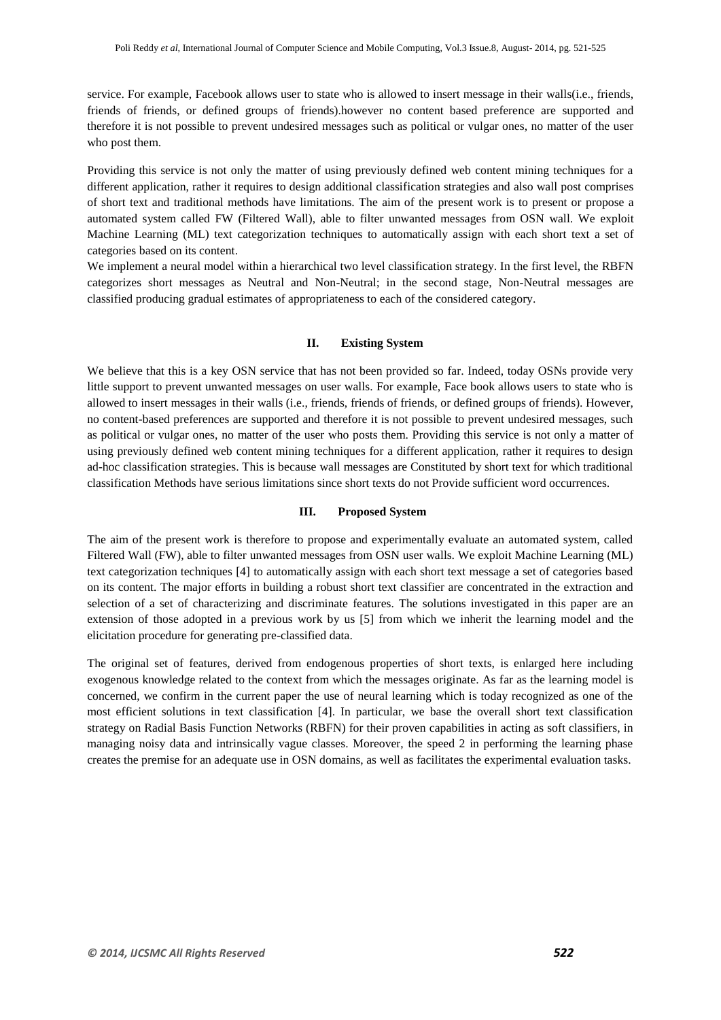service. For example, Facebook allows user to state who is allowed to insert message in their walls(i.e., friends, friends of friends, or defined groups of friends).however no content based preference are supported and therefore it is not possible to prevent undesired messages such as political or vulgar ones, no matter of the user who post them.

Providing this service is not only the matter of using previously defined web content mining techniques for a different application, rather it requires to design additional classification strategies and also wall post comprises of short text and traditional methods have limitations. The aim of the present work is to present or propose a automated system called FW (Filtered Wall), able to filter unwanted messages from OSN wall. We exploit Machine Learning (ML) text categorization techniques to automatically assign with each short text a set of categories based on its content.

We implement a neural model within a hierarchical two level classification strategy. In the first level, the RBFN categorizes short messages as Neutral and Non-Neutral; in the second stage, Non-Neutral messages are classified producing gradual estimates of appropriateness to each of the considered category.

#### **II. Existing System**

We believe that this is a key OSN service that has not been provided so far. Indeed, today OSNs provide very little support to prevent unwanted messages on user walls. For example, Face book allows users to state who is allowed to insert messages in their walls (i.e., friends, friends of friends, or defined groups of friends). However, no content-based preferences are supported and therefore it is not possible to prevent undesired messages, such as political or vulgar ones, no matter of the user who posts them. Providing this service is not only a matter of using previously defined web content mining techniques for a different application, rather it requires to design ad-hoc classification strategies. This is because wall messages are Constituted by short text for which traditional classification Methods have serious limitations since short texts do not Provide sufficient word occurrences.

## **III. Proposed System**

The aim of the present work is therefore to propose and experimentally evaluate an automated system, called Filtered Wall (FW), able to filter unwanted messages from OSN user walls. We exploit Machine Learning (ML) text categorization techniques [4] to automatically assign with each short text message a set of categories based on its content. The major efforts in building a robust short text classifier are concentrated in the extraction and selection of a set of characterizing and discriminate features. The solutions investigated in this paper are an extension of those adopted in a previous work by us [5] from which we inherit the learning model and the elicitation procedure for generating pre-classified data.

The original set of features, derived from endogenous properties of short texts, is enlarged here including exogenous knowledge related to the context from which the messages originate. As far as the learning model is concerned, we confirm in the current paper the use of neural learning which is today recognized as one of the most efficient solutions in text classification [4]. In particular, we base the overall short text classification strategy on Radial Basis Function Networks (RBFN) for their proven capabilities in acting as soft classifiers, in managing noisy data and intrinsically vague classes. Moreover, the speed 2 in performing the learning phase creates the premise for an adequate use in OSN domains, as well as facilitates the experimental evaluation tasks.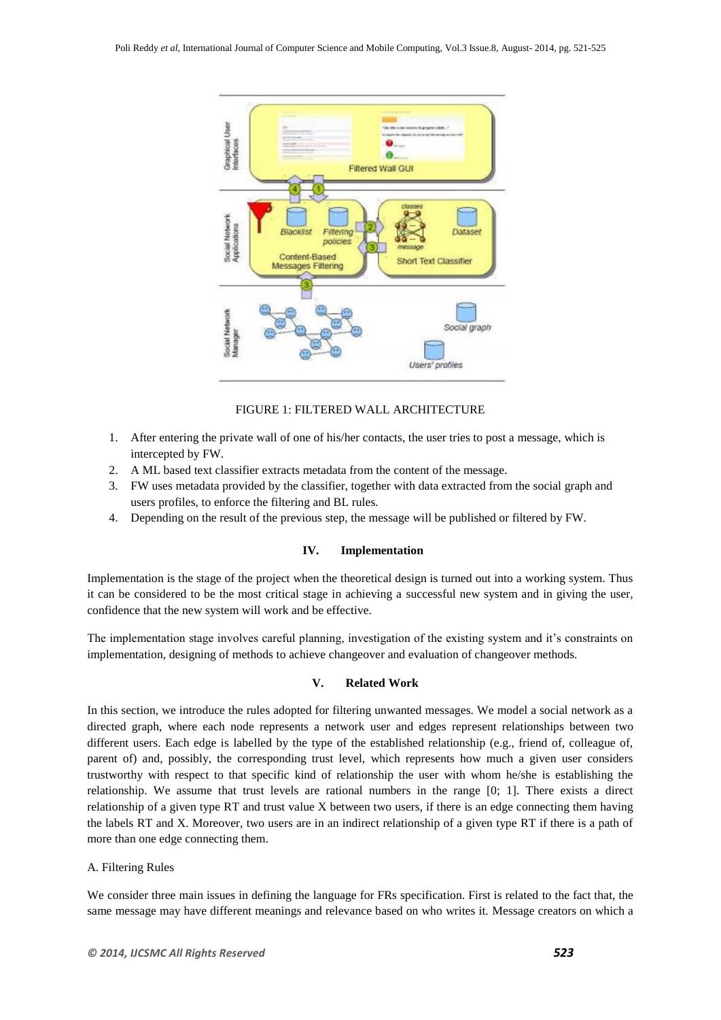

# FIGURE 1: FILTERED WALL ARCHITECTURE

- 1. After entering the private wall of one of his/her contacts, the user tries to post a message, which is intercepted by FW.
- 2. A ML based text classifier extracts metadata from the content of the message.
- 3. FW uses metadata provided by the classifier, together with data extracted from the social graph and users profiles, to enforce the filtering and BL rules.
- 4. Depending on the result of the previous step, the message will be published or filtered by FW.

## **IV. Implementation**

Implementation is the stage of the project when the theoretical design is turned out into a working system. Thus it can be considered to be the most critical stage in achieving a successful new system and in giving the user, confidence that the new system will work and be effective.

The implementation stage involves careful planning, investigation of the existing system and it's constraints on implementation, designing of methods to achieve changeover and evaluation of changeover methods.

## **V. Related Work**

In this section, we introduce the rules adopted for filtering unwanted messages. We model a social network as a directed graph, where each node represents a network user and edges represent relationships between two different users. Each edge is labelled by the type of the established relationship (e.g., friend of, colleague of, parent of) and, possibly, the corresponding trust level, which represents how much a given user considers trustworthy with respect to that specific kind of relationship the user with whom he/she is establishing the relationship. We assume that trust levels are rational numbers in the range [0; 1]. There exists a direct relationship of a given type RT and trust value X between two users, if there is an edge connecting them having the labels RT and X. Moreover, two users are in an indirect relationship of a given type RT if there is a path of more than one edge connecting them.

#### A. Filtering Rules

We consider three main issues in defining the language for FRs specification. First is related to the fact that, the same message may have different meanings and relevance based on who writes it. Message creators on which a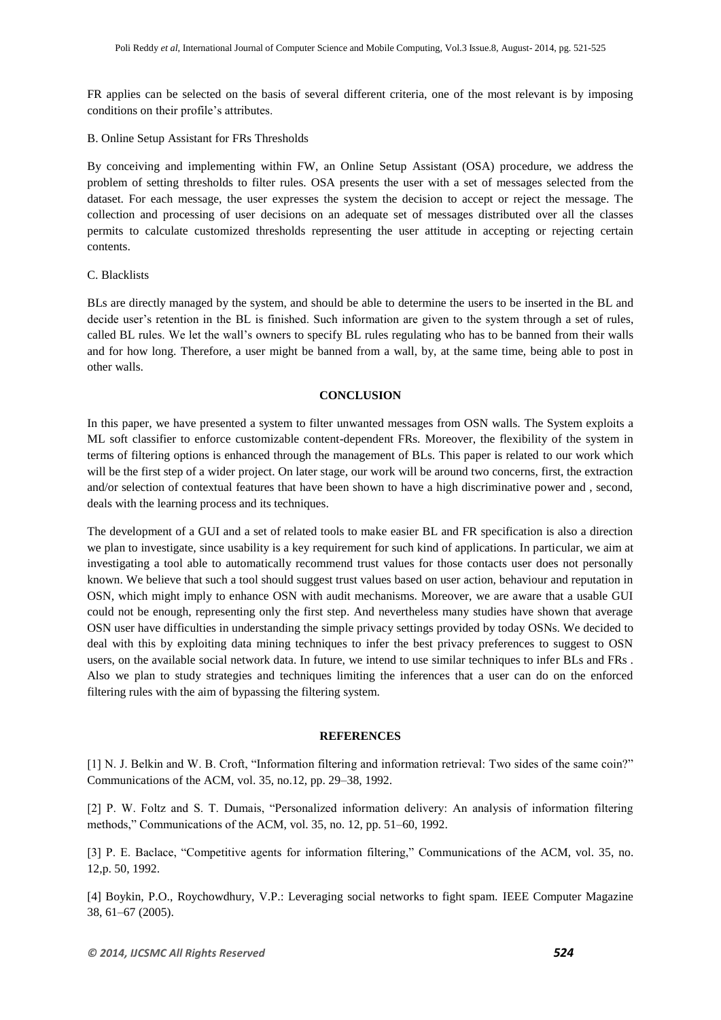FR applies can be selected on the basis of several different criteria, one of the most relevant is by imposing conditions on their profile's attributes.

B. Online Setup Assistant for FRs Thresholds

By conceiving and implementing within FW, an Online Setup Assistant (OSA) procedure, we address the problem of setting thresholds to filter rules. OSA presents the user with a set of messages selected from the dataset. For each message, the user expresses the system the decision to accept or reject the message. The collection and processing of user decisions on an adequate set of messages distributed over all the classes permits to calculate customized thresholds representing the user attitude in accepting or rejecting certain contents.

## C. Blacklists

BLs are directly managed by the system, and should be able to determine the users to be inserted in the BL and decide user's retention in the BL is finished. Such information are given to the system through a set of rules, called BL rules. We let the wall's owners to specify BL rules regulating who has to be banned from their walls and for how long. Therefore, a user might be banned from a wall, by, at the same time, being able to post in other walls.

## **CONCLUSION**

In this paper, we have presented a system to filter unwanted messages from OSN walls. The System exploits a ML soft classifier to enforce customizable content-dependent FRs. Moreover, the flexibility of the system in terms of filtering options is enhanced through the management of BLs. This paper is related to our work which will be the first step of a wider project. On later stage, our work will be around two concerns, first, the extraction and/or selection of contextual features that have been shown to have a high discriminative power and , second, deals with the learning process and its techniques.

The development of a GUI and a set of related tools to make easier BL and FR specification is also a direction we plan to investigate, since usability is a key requirement for such kind of applications. In particular, we aim at investigating a tool able to automatically recommend trust values for those contacts user does not personally known. We believe that such a tool should suggest trust values based on user action, behaviour and reputation in OSN, which might imply to enhance OSN with audit mechanisms. Moreover, we are aware that a usable GUI could not be enough, representing only the first step. And nevertheless many studies have shown that average OSN user have difficulties in understanding the simple privacy settings provided by today OSNs. We decided to deal with this by exploiting data mining techniques to infer the best privacy preferences to suggest to OSN users, on the available social network data. In future, we intend to use similar techniques to infer BLs and FRs . Also we plan to study strategies and techniques limiting the inferences that a user can do on the enforced filtering rules with the aim of bypassing the filtering system.

#### **REFERENCES**

[1] N. J. Belkin and W. B. Croft, "Information filtering and information retrieval: Two sides of the same coin?" Communications of the ACM, vol. 35, no.12, pp. 29–38, 1992.

[2] P. W. Foltz and S. T. Dumais, "Personalized information delivery: An analysis of information filtering methods," Communications of the ACM, vol. 35, no. 12, pp. 51–60, 1992.

[3] P. E. Baclace, "Competitive agents for information filtering," Communications of the ACM, vol. 35, no. 12,p. 50, 1992.

[4] Boykin, P.O., Roychowdhury, V.P.: Leveraging social networks to fight spam. IEEE Computer Magazine 38, 61–67 (2005).